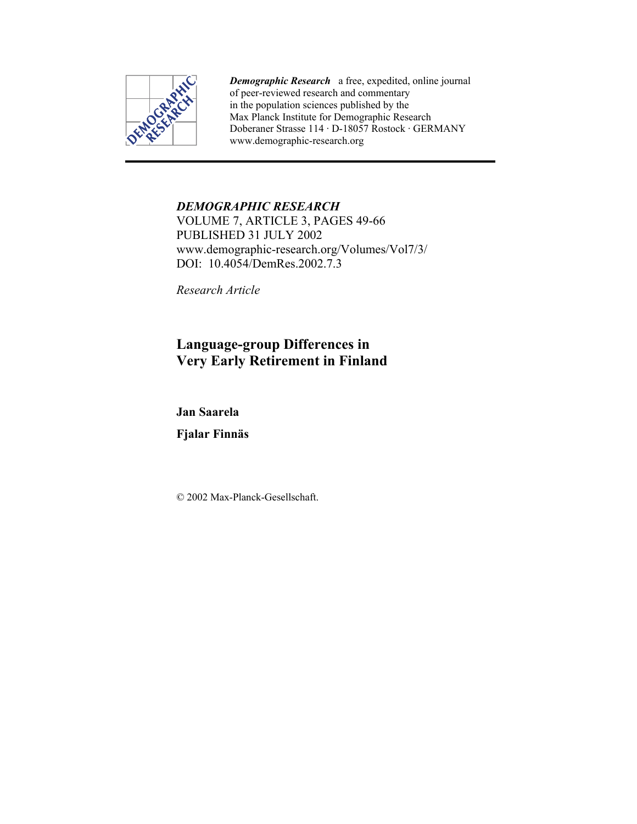

*Demographic Research* a free, expedited, online journal of peer-reviewed research and commentary in the population sciences published by the Max Planck Institute for Demographic Research Doberaner Strasse 114 · D-18057 Rostock · GERMANY www.demographic-research.org

# *DEMOGRAPHIC RESEARCH*

VOLUME 7, ARTICLE 3, PAGES 49-66 PUBLISHED 31 JULY 2002 www.demographic-research.org/Volumes/Vol7/3/ DOI: 10.4054/DemRes. 2002. 7.3

*Research Article* 

# **Language-group Differences in Very Early Retirement in Finland**

**Jan Saarela** 

**Fjalar Finnäs** 

© 2002 Max-Planck-Gesellschaft.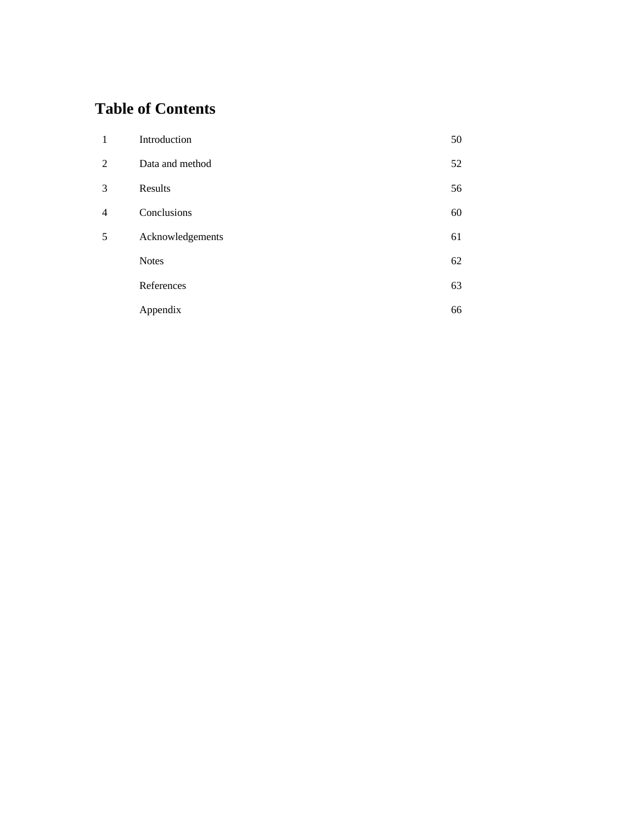## **Table of Contents**

| $\mathbf{1}$   | Introduction     | 50 |
|----------------|------------------|----|
| 2              | Data and method  | 52 |
| 3              | Results          | 56 |
| $\overline{4}$ | Conclusions      | 60 |
| 5              | Acknowledgements | 61 |
|                | <b>Notes</b>     | 62 |
|                | References       | 63 |
|                | Appendix         | 66 |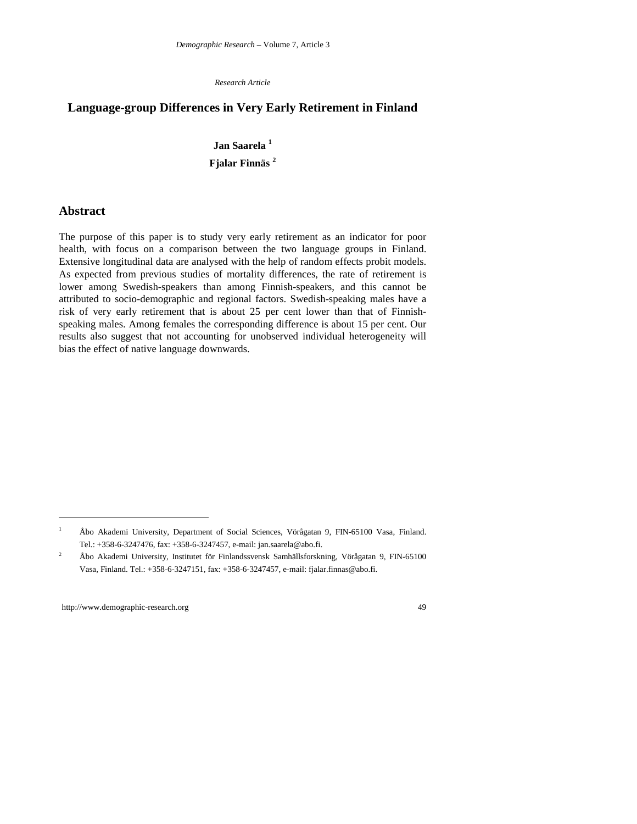*Research Article*

## **Language-group Differences in Very Early Retirement in Finland**

## **Jan Saarela 1 Fjalar Finnäs <sup>2</sup>**

#### **Abstract**

The purpose of this paper is to study very early retirement as an indicator for poor health, with focus on a comparison between the two language groups in Finland. Extensive longitudinal data are analysed with the help of random effects probit models. As expected from previous studies of mortality differences, the rate of retirement is lower among Swedish-speakers than among Finnish-speakers, and this cannot be attributed to socio-demographic and regional factors. Swedish-speaking males have a risk of very early retirement that is about 25 per cent lower than that of Finnishspeaking males. Among females the corresponding difference is about 15 per cent. Our results also suggest that not accounting for unobserved individual heterogeneity will bias the effect of native language downwards.

 $\overline{a}$ 

<sup>1</sup> Åbo Akademi University, Department of Social Sciences, Vörågatan 9, FIN-65100 Vasa, Finland. Tel.: +358-6-3247476, fax: +358-6-3247457, e-mail: jan.saarela@abo.fi.

<sup>2</sup> Åbo Akademi University, Institutet för Finlandssvensk Samhällsforskning, Vörågatan 9, FIN-65100 Vasa, Finland. Tel.: +358-6-3247151, fax: +358-6-3247457, e-mail: fjalar.finnas@abo.fi.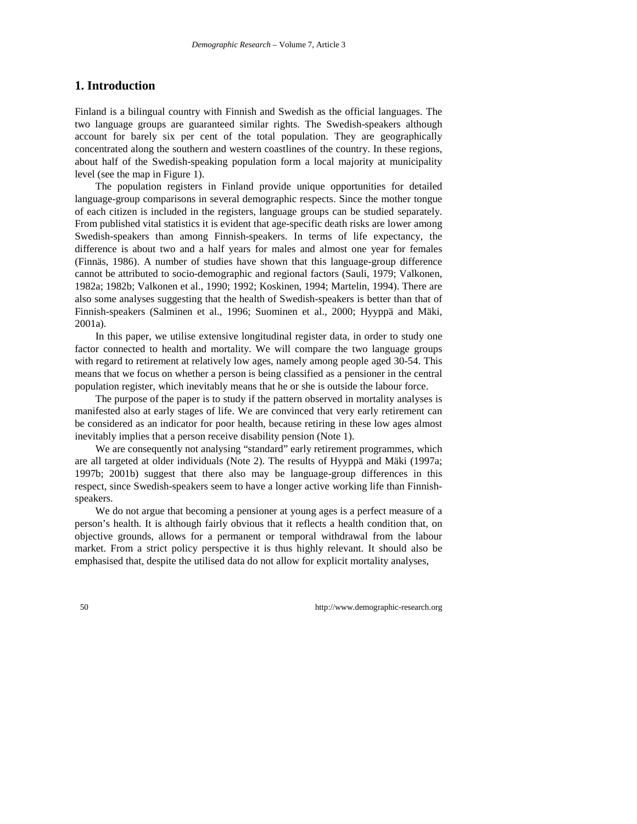## **1. Introduction**

Finland is a bilingual country with Finnish and Swedish as the official languages. The two language groups are guaranteed similar rights. The Swedish-speakers although account for barely six per cent of the total population. They are geographically concentrated along the southern and western coastlines of the country. In these regions, about half of the Swedish-speaking population form a local majority at municipality level (see the map in Figure 1).

The population registers in Finland provide unique opportunities for detailed language-group comparisons in several demographic respects. Since the mother tongue of each citizen is included in the registers, language groups can be studied separately. From published vital statistics it is evident that age-specific death risks are lower among Swedish-speakers than among Finnish-speakers. In terms of life expectancy, the difference is about two and a half years for males and almost one year for females (Finnäs, 1986). A number of studies have shown that this language-group difference cannot be attributed to socio-demographic and regional factors (Sauli, 1979; Valkonen, 1982a; 1982b; Valkonen et al., 1990; 1992; Koskinen, 1994; Martelin, 1994). There are also some analyses suggesting that the health of Swedish-speakers is better than that of Finnish-speakers (Salminen et al., 1996; Suominen et al., 2000; Hyyppä and Mäki, 2001a).

In this paper, we utilise extensive longitudinal register data, in order to study one factor connected to health and mortality. We will compare the two language groups with regard to retirement at relatively low ages, namely among people aged 30-54. This means that we focus on whether a person is being classified as a pensioner in the central population register, which inevitably means that he or she is outside the labour force.

The purpose of the paper is to study if the pattern observed in mortality analyses is manifested also at early stages of life. We are convinced that very early retirement can be considered as an indicator for poor health, because retiring in these low ages almost inevitably implies that a person receive disability pension (Note 1).

We are consequently not analysing "standard" early retirement programmes, which are all targeted at older individuals (Note 2). The results of Hyyppä and Mäki (1997a; 1997b; 2001b) suggest that there also may be language-group differences in this respect, since Swedish-speakers seem to have a longer active working life than Finnishspeakers.

We do not argue that becoming a pensioner at young ages is a perfect measure of a person's health. It is although fairly obvious that it reflects a health condition that, on objective grounds, allows for a permanent or temporal withdrawal from the labour market. From a strict policy perspective it is thus highly relevant. It should also be emphasised that, despite the utilised data do not allow for explicit mortality analyses,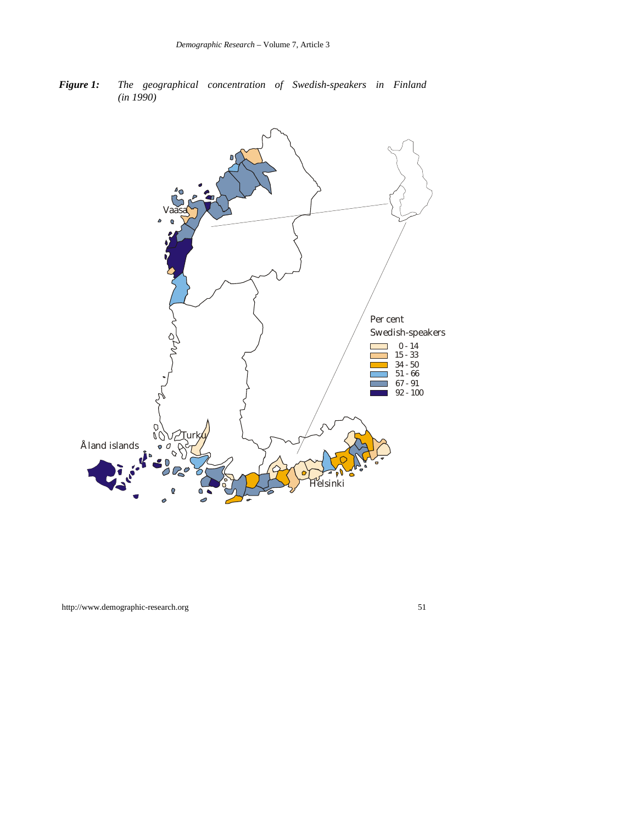*Figure 1: The geographical concentration of Swedish-speakers in Finland (in 1990)*

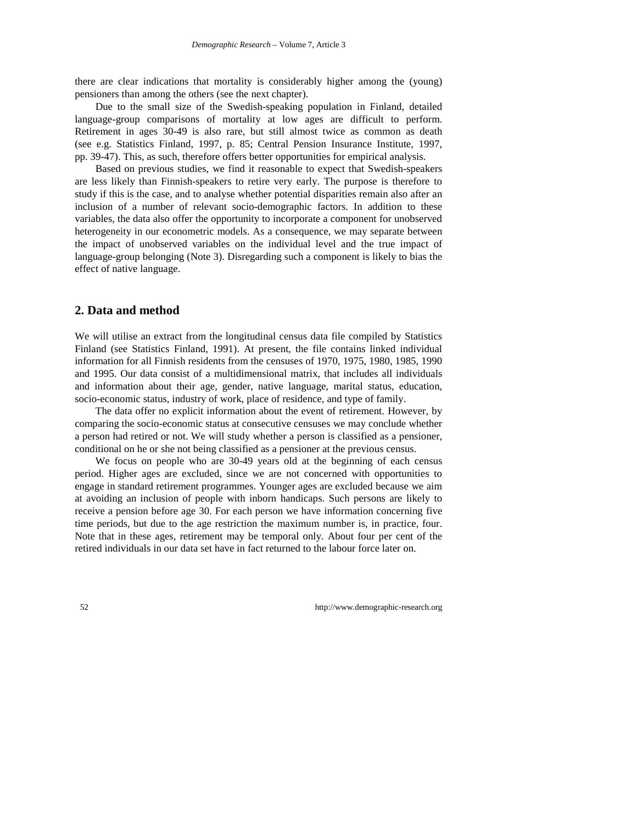there are clear indications that mortality is considerably higher among the (young) pensioners than among the others (see the next chapter).

Due to the small size of the Swedish-speaking population in Finland, detailed language-group comparisons of mortality at low ages are difficult to perform. Retirement in ages 30-49 is also rare, but still almost twice as common as death (see e.g. Statistics Finland, 1997, p. 85; Central Pension Insurance Institute, 1997, pp. 39-47). This, as such, therefore offers better opportunities for empirical analysis.

Based on previous studies, we find it reasonable to expect that Swedish-speakers are less likely than Finnish-speakers to retire very early. The purpose is therefore to study if this is the case, and to analyse whether potential disparities remain also after an inclusion of a number of relevant socio-demographic factors. In addition to these variables, the data also offer the opportunity to incorporate a component for unobserved heterogeneity in our econometric models. As a consequence, we may separate between the impact of unobserved variables on the individual level and the true impact of language-group belonging (Note 3). Disregarding such a component is likely to bias the effect of native language.

#### **2. Data and method**

We will utilise an extract from the longitudinal census data file compiled by Statistics Finland (see Statistics Finland, 1991). At present, the file contains linked individual information for all Finnish residents from the censuses of 1970, 1975, 1980, 1985, 1990 and 1995. Our data consist of a multidimensional matrix, that includes all individuals and information about their age, gender, native language, marital status, education, socio-economic status, industry of work, place of residence, and type of family.

The data offer no explicit information about the event of retirement. However, by comparing the socio-economic status at consecutive censuses we may conclude whether a person had retired or not. We will study whether a person is classified as a pensioner, conditional on he or she not being classified as a pensioner at the previous census.

We focus on people who are 30-49 years old at the beginning of each census period. Higher ages are excluded, since we are not concerned with opportunities to engage in standard retirement programmes. Younger ages are excluded because we aim at avoiding an inclusion of people with inborn handicaps. Such persons are likely to receive a pension before age 30. For each person we have information concerning five time periods, but due to the age restriction the maximum number is, in practice, four. Note that in these ages, retirement may be temporal only. About four per cent of the retired individuals in our data set have in fact returned to the labour force later on.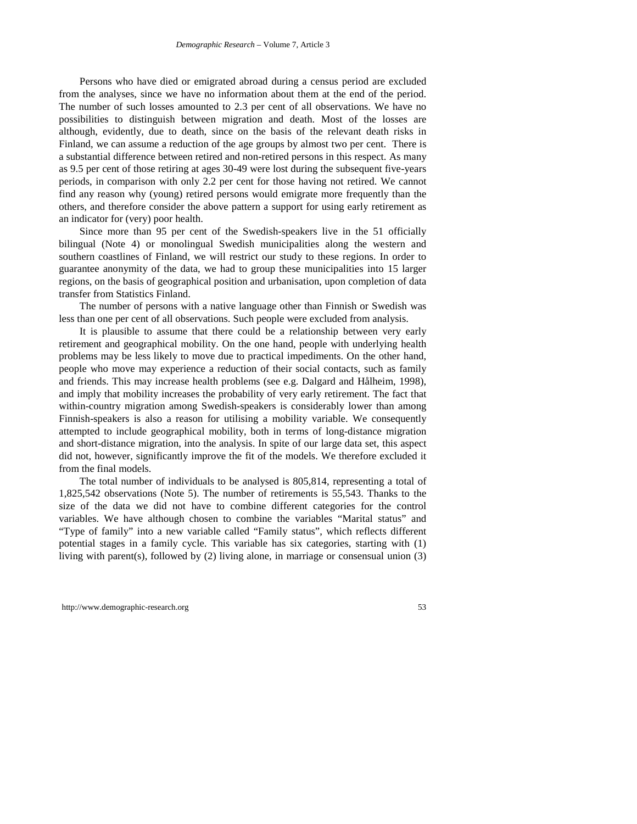Persons who have died or emigrated abroad during a census period are excluded from the analyses, since we have no information about them at the end of the period. The number of such losses amounted to 2.3 per cent of all observations. We have no possibilities to distinguish between migration and death. Most of the losses are although, evidently, due to death, since on the basis of the relevant death risks in Finland, we can assume a reduction of the age groups by almost two per cent. There is a substantial difference between retired and non-retired persons in this respect. As many as 9.5 per cent of those retiring at ages 30-49 were lost during the subsequent five-years periods, in comparison with only 2.2 per cent for those having not retired. We cannot find any reason why (young) retired persons would emigrate more frequently than the others, and therefore consider the above pattern a support for using early retirement as an indicator for (very) poor health.

Since more than 95 per cent of the Swedish-speakers live in the 51 officially bilingual (Note 4) or monolingual Swedish municipalities along the western and southern coastlines of Finland, we will restrict our study to these regions. In order to guarantee anonymity of the data, we had to group these municipalities into 15 larger regions, on the basis of geographical position and urbanisation, upon completion of data transfer from Statistics Finland.

The number of persons with a native language other than Finnish or Swedish was less than one per cent of all observations. Such people were excluded from analysis.

It is plausible to assume that there could be a relationship between very early retirement and geographical mobility. On the one hand, people with underlying health problems may be less likely to move due to practical impediments. On the other hand, people who move may experience a reduction of their social contacts, such as family and friends. This may increase health problems (see e.g. Dalgard and Hålheim, 1998), and imply that mobility increases the probability of very early retirement. The fact that within-country migration among Swedish-speakers is considerably lower than among Finnish-speakers is also a reason for utilising a mobility variable. We consequently attempted to include geographical mobility, both in terms of long-distance migration and short-distance migration, into the analysis. In spite of our large data set, this aspect did not, however, significantly improve the fit of the models. We therefore excluded it from the final models.

The total number of individuals to be analysed is 805,814, representing a total of 1,825,542 observations (Note 5). The number of retirements is 55,543. Thanks to the size of the data we did not have to combine different categories for the control variables. We have although chosen to combine the variables "Marital status" and "Type of family" into a new variable called "Family status", which reflects different potential stages in a family cycle. This variable has six categories, starting with (1) living with parent(s), followed by (2) living alone, in marriage or consensual union (3)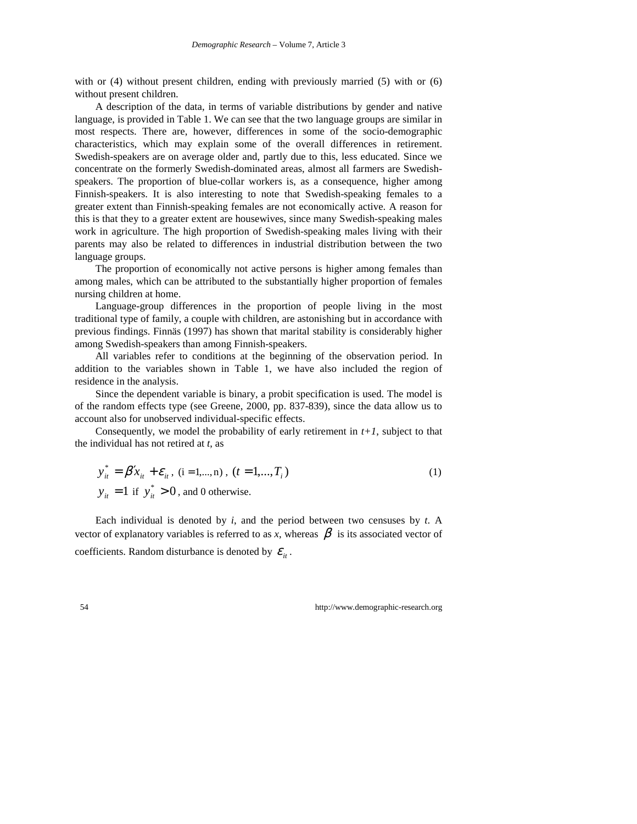with or (4) without present children, ending with previously married (5) with or (6) without present children.

A description of the data, in terms of variable distributions by gender and native language, is provided in Table 1. We can see that the two language groups are similar in most respects. There are, however, differences in some of the socio-demographic characteristics, which may explain some of the overall differences in retirement. Swedish-speakers are on average older and, partly due to this, less educated. Since we concentrate on the formerly Swedish-dominated areas, almost all farmers are Swedishspeakers. The proportion of blue-collar workers is, as a consequence, higher among Finnish-speakers. It is also interesting to note that Swedish-speaking females to a greater extent than Finnish-speaking females are not economically active. A reason for this is that they to a greater extent are housewives, since many Swedish-speaking males work in agriculture. The high proportion of Swedish-speaking males living with their parents may also be related to differences in industrial distribution between the two language groups.

The proportion of economically not active persons is higher among females than among males, which can be attributed to the substantially higher proportion of females nursing children at home.

Language-group differences in the proportion of people living in the most traditional type of family, a couple with children, are astonishing but in accordance with previous findings. Finnäs (1997) has shown that marital stability is considerably higher among Swedish-speakers than among Finnish-speakers.

All variables refer to conditions at the beginning of the observation period. In addition to the variables shown in Table 1, we have also included the region of residence in the analysis.

Since the dependent variable is binary, a probit specification is used. The model is of the random effects type (see Greene, 2000, pp. 837-839), since the data allow us to account also for unobserved individual-specific effects.

Consequently, we model the probability of early retirement in  $t+1$ , subject to that the individual has not retired at *t*, as

$$
y_{it}^{*} = \beta' x_{it} + \varepsilon_{it}, (i = 1,...,n), (t = 1,...,T_{i})
$$
  
\n
$$
y_{it} = 1 \text{ if } y_{it}^{*} > 0, \text{ and 0 otherwise.}
$$
 (1)

Each individual is denoted by *i*, and the period between two censuses by *t*. A vector of explanatory variables is referred to as x, whereas  $\beta$  is its associated vector of coefficients. Random disturbance is denoted by  $\mathcal{E}_{i}$ .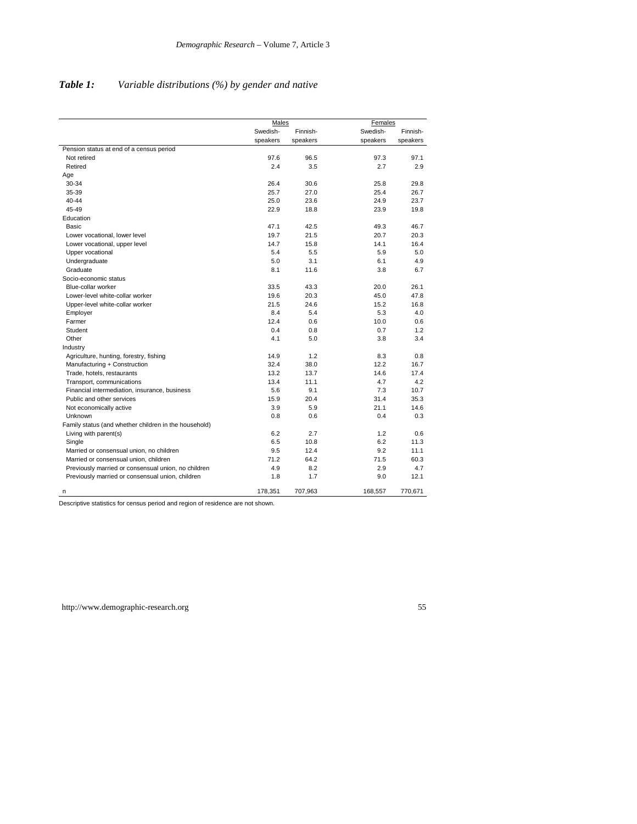|                                                       | Males    |          |          | Females  |  |
|-------------------------------------------------------|----------|----------|----------|----------|--|
|                                                       | Swedish- | Finnish- | Swedish- | Finnish- |  |
|                                                       | speakers | speakers | speakers | speakers |  |
| Pension status at end of a census period              |          |          |          |          |  |
| Not retired                                           | 97.6     | 96.5     | 97.3     | 97.1     |  |
| Retired                                               | 2.4      | 3.5      | 2.7      | 2.9      |  |
| Age                                                   |          |          |          |          |  |
| 30-34                                                 | 26.4     | 30.6     | 25.8     | 29.8     |  |
| 35-39                                                 | 25.7     | 27.0     | 25.4     | 26.7     |  |
| 40-44                                                 | 25.0     | 23.6     | 24.9     | 23.7     |  |
| 45-49                                                 | 22.9     | 18.8     | 23.9     | 19.8     |  |
| Education                                             |          |          |          |          |  |
| <b>Basic</b>                                          | 47.1     | 42.5     | 49.3     | 46.7     |  |
| Lower vocational, lower level                         | 19.7     | 21.5     | 20.7     | 20.3     |  |
| Lower vocational, upper level                         | 14.7     | 15.8     | 14.1     | 16.4     |  |
| Upper vocational                                      | 5.4      | 5.5      | 5.9      | 5.0      |  |
| Undergraduate                                         | 5.0      | 3.1      | 6.1      | 4.9      |  |
| Graduate                                              | 8.1      | 11.6     | 3.8      | 6.7      |  |
| Socio-economic status                                 |          |          |          |          |  |
| Blue-collar worker                                    | 33.5     | 43.3     | 20.0     | 26.1     |  |
| Lower-level white-collar worker                       | 19.6     | 20.3     | 45.0     | 47.8     |  |
| Upper-level white-collar worker                       | 21.5     | 24.6     | 15.2     | 16.8     |  |
| Employer                                              | 8.4      | 5.4      | 5.3      | 4.0      |  |
| Farmer                                                | 12.4     | 0.6      | 10.0     | 0.6      |  |
| Student                                               | 0.4      | 0.8      | 0.7      | 1.2      |  |
| Other                                                 | 4.1      | 5.0      | 3.8      | 3.4      |  |
| Industry                                              |          |          |          |          |  |
| Agriculture, hunting, forestry, fishing               | 14.9     | 1.2      | 8.3      | 0.8      |  |
| Manufacturing + Construction                          | 32.4     | 38.0     | 12.2     | 16.7     |  |
| Trade, hotels, restaurants                            | 13.2     | 13.7     | 14.6     | 17.4     |  |
| Transport, communications                             | 13.4     | 11.1     | 4.7      | 4.2      |  |
| Financial intermediation, insurance, business         | 5.6      | 9.1      | 7.3      | 10.7     |  |
| Public and other services                             | 15.9     | 20.4     | 31.4     | 35.3     |  |
| Not economically active                               | 3.9      | 5.9      | 21.1     | 14.6     |  |
| Unknown                                               | 0.8      | 0.6      | 0.4      | 0.3      |  |
| Family status (and whether children in the household) |          |          |          |          |  |
| Living with parent(s)                                 | 6.2      | 2.7      | 1.2      | 0.6      |  |
| Single                                                | 6.5      | 10.8     | 6.2      | 11.3     |  |
| Married or consensual union, no children              | 9.5      | 12.4     | 9.2      | 11.1     |  |
| Married or consensual union, children                 | 71.2     | 64.2     | 71.5     | 60.3     |  |
| Previously married or consensual union, no children   | 4.9      | 8.2      | 2.9      | 4.7      |  |
| Previously married or consensual union, children      | 1.8      | 1.7      | 9.0      | 12.1     |  |
| n                                                     | 178.351  | 707.963  | 168.557  | 770.671  |  |

## *Table 1: Variable distributions (%) by gender and native*

Descriptive statistics for census period and region of residence are not shown.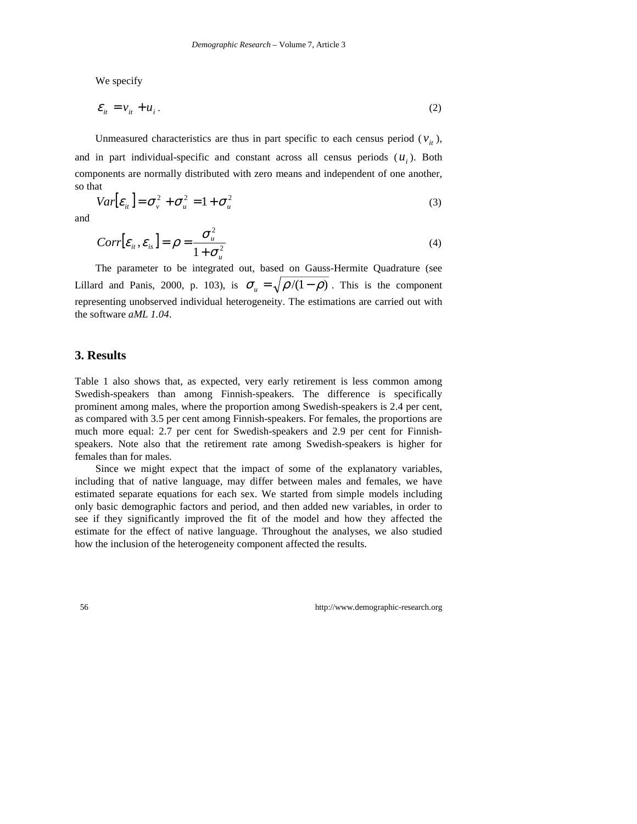We specify

$$
\mathcal{E}_{it} = \mathcal{V}_{it} + \mathcal{U}_i \,. \tag{2}
$$

Unmeasured characteristics are thus in part specific to each census period ( $v_i$ ), and in part individual-specific and constant across all census periods  $(u_i)$ . Both components are normally distributed with zero means and independent of one another, so that

$$
Var[\varepsilon_{ii}] = \sigma_v^2 + \sigma_u^2 = 1 + \sigma_u^2
$$
\n(3)

and

$$
Corr[\varepsilon_{i}, \varepsilon_{i},] = \rho = \frac{\sigma_{i}^{2}}{1 + \sigma_{i}^{2}}
$$
\n(4)

The parameter to be integrated out, based on Gauss-Hermite Quadrature (see Lillard and Panis, 2000, p. 103), is  $\sigma_u = \sqrt{\frac{\rho}{(1-\rho)}}$ . This is the component representing unobserved individual heterogeneity. The estimations are carried out with the software *aML 1.04*.

#### **3. Results**

Table 1 also shows that, as expected, very early retirement is less common among Swedish-speakers than among Finnish-speakers. The difference is specifically prominent among males, where the proportion among Swedish-speakers is 2.4 per cent, as compared with 3.5 per cent among Finnish-speakers. For females, the proportions are much more equal: 2.7 per cent for Swedish-speakers and 2.9 per cent for Finnishspeakers. Note also that the retirement rate among Swedish-speakers is higher for females than for males.

Since we might expect that the impact of some of the explanatory variables, including that of native language, may differ between males and females, we have estimated separate equations for each sex. We started from simple models including only basic demographic factors and period, and then added new variables, in order to see if they significantly improved the fit of the model and how they affected the estimate for the effect of native language. Throughout the analyses, we also studied how the inclusion of the heterogeneity component affected the results.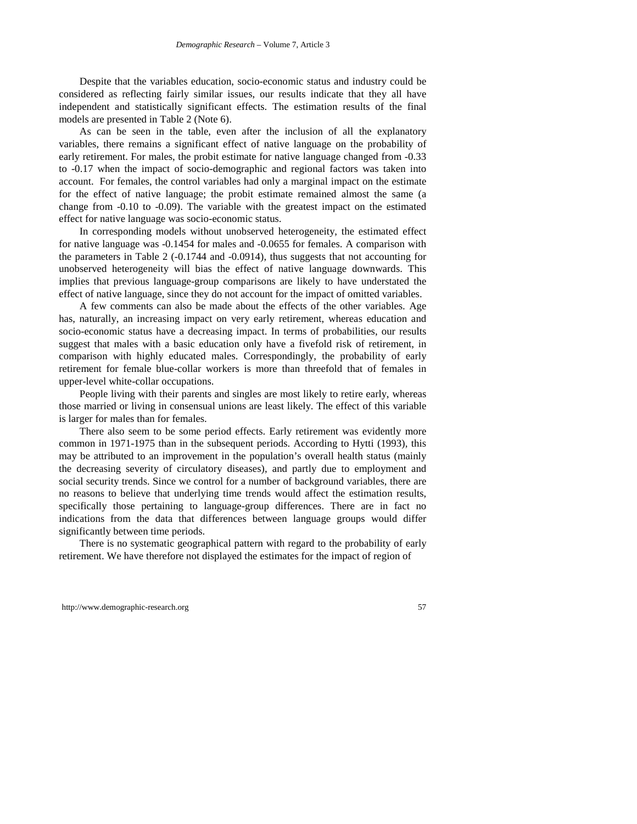Despite that the variables education, socio-economic status and industry could be considered as reflecting fairly similar issues, our results indicate that they all have independent and statistically significant effects. The estimation results of the final models are presented in Table 2 (Note 6).

As can be seen in the table, even after the inclusion of all the explanatory variables, there remains a significant effect of native language on the probability of early retirement. For males, the probit estimate for native language changed from -0.33 to -0.17 when the impact of socio-demographic and regional factors was taken into account. For females, the control variables had only a marginal impact on the estimate for the effect of native language; the probit estimate remained almost the same (a change from -0.10 to -0.09). The variable with the greatest impact on the estimated effect for native language was socio-economic status.

In corresponding models without unobserved heterogeneity, the estimated effect for native language was -0.1454 for males and -0.0655 for females. A comparison with the parameters in Table 2 (-0.1744 and -0.0914), thus suggests that not accounting for unobserved heterogeneity will bias the effect of native language downwards. This implies that previous language-group comparisons are likely to have understated the effect of native language, since they do not account for the impact of omitted variables.

A few comments can also be made about the effects of the other variables. Age has, naturally, an increasing impact on very early retirement, whereas education and socio-economic status have a decreasing impact. In terms of probabilities, our results suggest that males with a basic education only have a fivefold risk of retirement, in comparison with highly educated males. Correspondingly, the probability of early retirement for female blue-collar workers is more than threefold that of females in upper-level white-collar occupations.

People living with their parents and singles are most likely to retire early, whereas those married or living in consensual unions are least likely. The effect of this variable is larger for males than for females.

There also seem to be some period effects. Early retirement was evidently more common in 1971-1975 than in the subsequent periods. According to Hytti (1993), this may be attributed to an improvement in the population's overall health status (mainly the decreasing severity of circulatory diseases), and partly due to employment and social security trends. Since we control for a number of background variables, there are no reasons to believe that underlying time trends would affect the estimation results, specifically those pertaining to language-group differences. There are in fact no indications from the data that differences between language groups would differ significantly between time periods.

There is no systematic geographical pattern with regard to the probability of early retirement. We have therefore not displayed the estimates for the impact of region of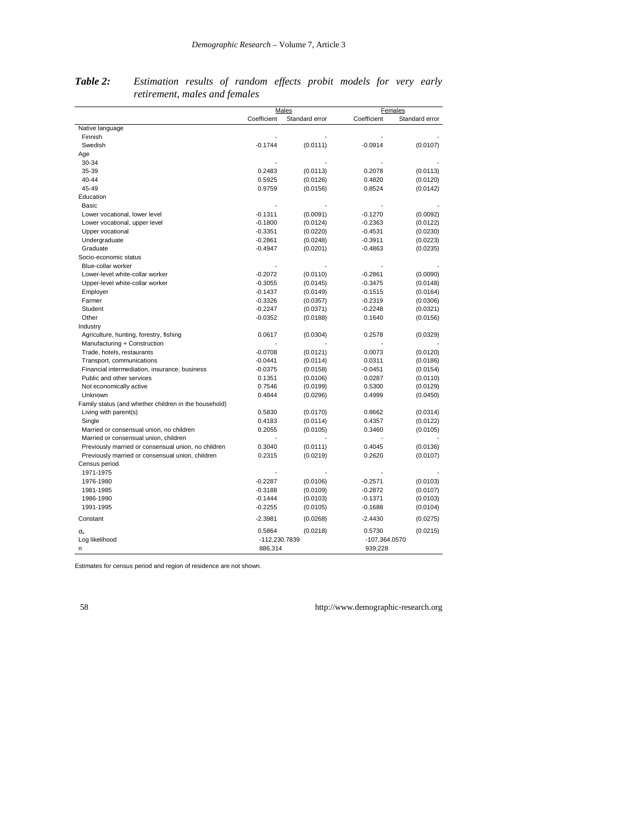|                                                       | Males         |                |               | Females        |
|-------------------------------------------------------|---------------|----------------|---------------|----------------|
|                                                       | Coefficient   | Standard error | Coefficient   | Standard error |
| Native language                                       |               |                |               |                |
| Finnish                                               |               |                |               |                |
| Swedish                                               | $-0.1744$     | (0.0111)       | $-0.0914$     | (0.0107)       |
| Age                                                   |               |                |               |                |
| 30-34                                                 |               |                |               |                |
| 35-39                                                 | 0.2483        | (0.0113)       | 0.2078        | (0.0113)       |
| 40-44                                                 | 0.5925        | (0.0126)       | 0.4820        | (0.0120)       |
| 45-49                                                 | 0.9759        | (0.0156)       | 0.8524        | (0.0142)       |
| Education                                             |               |                |               |                |
| Basic                                                 |               |                |               |                |
| Lower vocational, lower level                         | $-0.1311$     | (0.0091)       | $-0.1270$     | (0.0092)       |
| Lower vocational, upper level                         | $-0.1800$     | (0.0124)       | $-0.2363$     | (0.0122)       |
| Upper vocational                                      | $-0.3351$     | (0.0220)       | $-0.4531$     | (0.0230)       |
| Undergraduate                                         | $-0.2861$     | (0.0248)       | $-0.3911$     | (0.0223)       |
| Graduate                                              | $-0.4947$     | (0.0201)       | $-0.4863$     | (0.0235)       |
| Socio-economic status                                 |               |                |               |                |
| Blue-collar worker                                    |               |                |               |                |
| Lower-level white-collar worker                       | $-0.2072$     | (0.0110)       | $-0.2861$     | (0.0090)       |
| Upper-level white-collar worker                       | $-0.3055$     | (0.0145)       | $-0.3475$     | (0.0148)       |
| Employer                                              | $-0.1437$     | (0.0149)       | $-0.1515$     | (0.0164)       |
| Farmer                                                | $-0.3326$     | (0.0357)       | $-0.2319$     | (0.0306)       |
| Student                                               | $-0.2247$     | (0.0371)       | $-0.2248$     | (0.0321)       |
| Other                                                 | $-0.0352$     | (0.0188)       | 0.1640        | (0.0156)       |
| Industry                                              |               |                |               |                |
| Agriculture, hunting, forestry, fishing               | 0.0617        | (0.0304)       | 0.2578        | (0.0329)       |
| Manufacturing + Construction                          |               |                |               |                |
| Trade, hotels, restaurants                            | $-0.0708$     | (0.0121)       | 0.0073        | (0.0120)       |
| Transport, communications                             | $-0.0441$     | (0.0114)       | 0.0311        | (0.0186)       |
| Financial intermediation, insurance, business         | $-0.0375$     | (0.0158)       | $-0.0451$     | (0.0154)       |
| Public and other services                             | 0.1351        | (0.0106)       | 0.0287        | (0.0110)       |
| Not economically active                               | 0.7546        | (0.0199)       | 0.5300        | (0.0129)       |
| Unknown                                               | 0.4844        | (0.0296)       | 0.4999        | (0.0450)       |
| Family status (and whether children in the household) |               |                |               |                |
| Living with parent(s)                                 | 0.5830        | (0.0170)       | 0.8662        | (0.0314)       |
| Single                                                | 0.4183        | (0.0114)       | 0.4357        | (0.0122)       |
| Married or consensual union, no children              | 0.2055        | (0.0105)       | 0.3460        | (0.0105)       |
| Married or consensual union, children                 |               |                |               |                |
| Previously married or consensual union, no children   | 0.3040        | (0.0111)       | 0.4045        | (0.0136)       |
| Previously married or consensual union, children      | 0.2315        | (0.0219)       | 0.2620        | (0.0107)       |
| Census period                                         |               |                |               |                |
| 1971-1975                                             |               |                |               |                |
| 1976-1980                                             | $-0.2287$     | (0.0106)       | $-0.2571$     | (0.0103)       |
| 1981-1985                                             | $-0.3188$     | (0.0109)       | $-0.2872$     | (0.0107)       |
| 1986-1990                                             | $-0.1444$     | (0.0103)       | $-0.1371$     | (0.0103)       |
| 1991-1995                                             | $-0.2255$     | (0.0105)       | $-0.1688$     | (0.0104)       |
| Constant                                              | $-2.3981$     | (0.0268)       | $-2.4430$     | (0.0275)       |
| $\sigma_{\rm u}$                                      | 0.5864        | (0.0218)       | 0.5730        | (0.0215)       |
| Log likelihood                                        | -112,230.7839 |                | -107,364.0570 |                |
| n                                                     | 886,314       |                | 939,228       |                |

*Table 2: Estimation results of random effects probit models for very early retirement, males and females*

Estimates for census period and region of residence are not shown.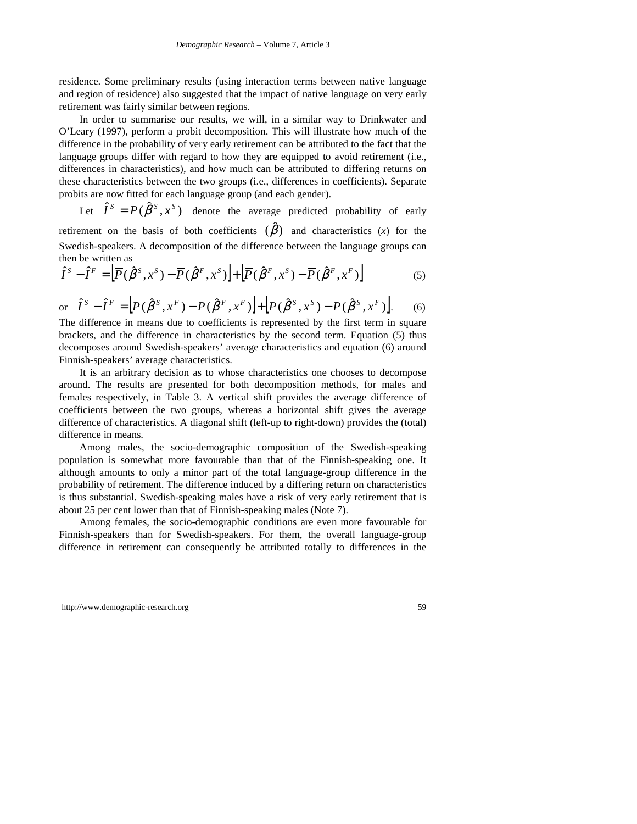residence. Some preliminary results (using interaction terms between native language and region of residence) also suggested that the impact of native language on very early retirement was fairly similar between regions.

In order to summarise our results, we will, in a similar way to Drinkwater and O'Leary (1997), perform a probit decomposition. This will illustrate how much of the difference in the probability of very early retirement can be attributed to the fact that the language groups differ with regard to how they are equipped to avoid retirement (i.e., differences in characteristics), and how much can be attributed to differing returns on these characteristics between the two groups (i.e., differences in coefficients). Separate probits are now fitted for each language group (and each gender).

Let  $\hat{I}^S = \overline{P}(\hat{\beta}^S, x^S)$  denote the average predicted probability of early retirement on the basis of both coefficients  $(\hat{\beta})$  and characteristics (*x*) for the Swedish-speakers. A decomposition of the difference between the language groups can then be written as

$$
\hat{I}^S - \hat{I}^F = \left[ \overline{P}(\hat{\beta}^S, x^S) - \overline{P}(\hat{\beta}^F, x^S) \right] + \left[ \overline{P}(\hat{\beta}^F, x^S) - \overline{P}(\hat{\beta}^F, x^F) \right]
$$
(5)

or 
$$
\hat{I}^S - \hat{I}^F = \Big[ \overline{P}(\hat{\beta}^S, x^F) - \overline{P}(\hat{\beta}^F, x^F) \Big] + \Big[ \overline{P}(\hat{\beta}^S, x^S) - \overline{P}(\hat{\beta}^S, x^F) \Big].
$$
 (6)

The difference in means due to coefficients is represented by the first term in square brackets, and the difference in characteristics by the second term. Equation (5) thus decomposes around Swedish-speakers' average characteristics and equation (6) around Finnish-speakers' average characteristics.

It is an arbitrary decision as to whose characteristics one chooses to decompose around. The results are presented for both decomposition methods, for males and females respectively, in Table 3. A vertical shift provides the average difference of coefficients between the two groups, whereas a horizontal shift gives the average difference of characteristics. A diagonal shift (left-up to right-down) provides the (total) difference in means.

Among males, the socio-demographic composition of the Swedish-speaking population is somewhat more favourable than that of the Finnish-speaking one. It although amounts to only a minor part of the total language-group difference in the probability of retirement. The difference induced by a differing return on characteristics is thus substantial. Swedish-speaking males have a risk of very early retirement that is about 25 per cent lower than that of Finnish-speaking males (Note 7).

Among females, the socio-demographic conditions are even more favourable for Finnish-speakers than for Swedish-speakers. For them, the overall language-group difference in retirement can consequently be attributed totally to differences in the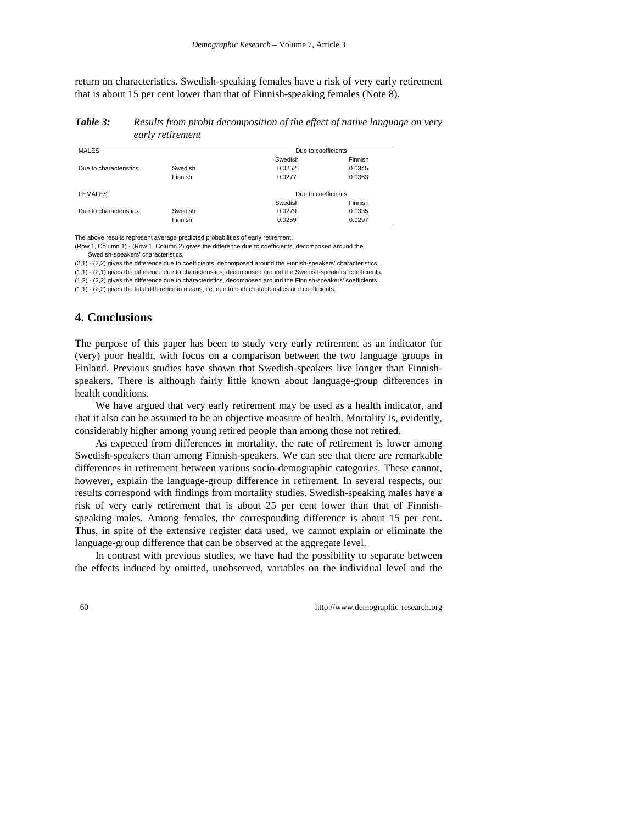return on characteristics. Swedish-speaking females have a risk of very early retirement that is about 15 per cent lower than that of Finnish-speaking females (Note 8).

*Table 3: Results from probit decomposition of the effect of native language on very early retirement*

| <b>MALES</b>           |         | Due to coefficients |         |  |
|------------------------|---------|---------------------|---------|--|
|                        |         | Swedish             | Finnish |  |
| Due to characteristics | Swedish | 0.0252              | 0.0345  |  |
|                        | Finnish | 0.0277              | 0.0363  |  |
|                        |         |                     |         |  |
| <b>FEMALES</b>         |         | Due to coefficients |         |  |
|                        |         | Swedish             | Finnish |  |
| Due to characteristics | Swedish | 0.0279              | 0.0335  |  |
|                        | Finnish | 0.0259              | 0.0297  |  |

The above results represent average predicted probabilities of early retirement.

(Row 1, Column 1) - (Row 1, Column 2) gives the difference due to coefficients, decomposed around the Swedish-speakers' characteristics.

(2,1) - (2,2) gives the difference due to coefficients, decomposed around the Finnish-speakers' characteristics.

(1,1) - (2,1) gives the difference due to characteristics, decomposed around the Swedish-speakers' coefficients.

(1,2) - (2,2) gives the difference due to characteristics, decomposed around the Finnish-speakers' coefficients.

(1,1) - (2,2) gives the total difference in means, i.e. due to both characteristics and coefficients.

### **4. Conclusions**

The purpose of this paper has been to study very early retirement as an indicator for (very) poor health, with focus on a comparison between the two language groups in Finland. Previous studies have shown that Swedish-speakers live longer than Finnishspeakers. There is although fairly little known about language-group differences in health conditions.

We have argued that very early retirement may be used as a health indicator, and that it also can be assumed to be an objective measure of health. Mortality is, evidently, considerably higher among young retired people than among those not retired.

As expected from differences in mortality, the rate of retirement is lower among Swedish-speakers than among Finnish-speakers. We can see that there are remarkable differences in retirement between various socio-demographic categories. These cannot, however, explain the language-group difference in retirement. In several respects, our results correspond with findings from mortality studies. Swedish-speaking males have a risk of very early retirement that is about 25 per cent lower than that of Finnishspeaking males. Among females, the corresponding difference is about 15 per cent. Thus, in spite of the extensive register data used, we cannot explain or eliminate the language-group difference that can be observed at the aggregate level.

In contrast with previous studies, we have had the possibility to separate between the effects induced by omitted, unobserved, variables on the individual level and the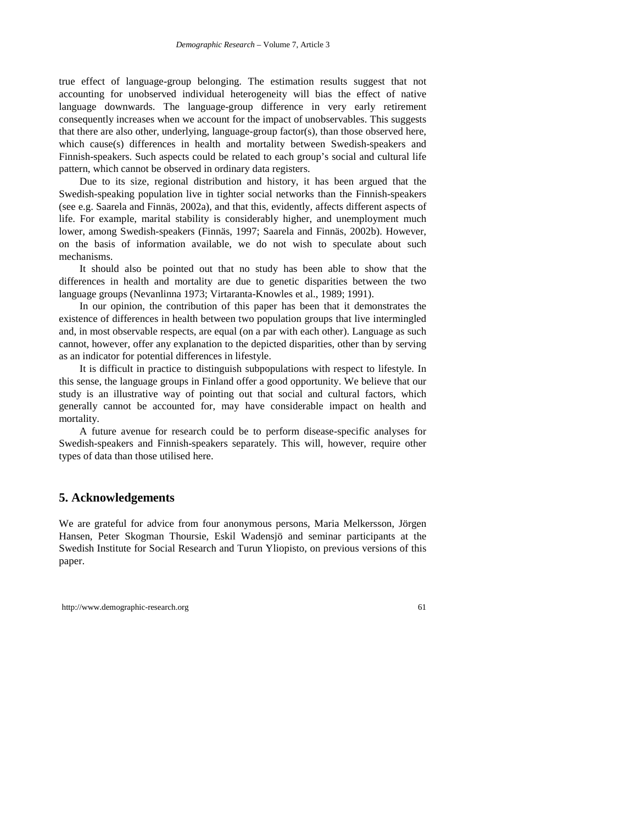true effect of language-group belonging. The estimation results suggest that not accounting for unobserved individual heterogeneity will bias the effect of native language downwards. The language-group difference in very early retirement consequently increases when we account for the impact of unobservables. This suggests that there are also other, underlying, language-group factor(s), than those observed here, which cause(s) differences in health and mortality between Swedish-speakers and Finnish-speakers. Such aspects could be related to each group's social and cultural life pattern, which cannot be observed in ordinary data registers.

Due to its size, regional distribution and history, it has been argued that the Swedish-speaking population live in tighter social networks than the Finnish-speakers (see e.g. Saarela and Finnäs, 2002a), and that this, evidently, affects different aspects of life. For example, marital stability is considerably higher, and unemployment much lower, among Swedish-speakers (Finnäs, 1997; Saarela and Finnäs, 2002b). However, on the basis of information available, we do not wish to speculate about such mechanisms.

It should also be pointed out that no study has been able to show that the differences in health and mortality are due to genetic disparities between the two language groups (Nevanlinna 1973; Virtaranta-Knowles et al., 1989; 1991).

In our opinion, the contribution of this paper has been that it demonstrates the existence of differences in health between two population groups that live intermingled and, in most observable respects, are equal (on a par with each other). Language as such cannot, however, offer any explanation to the depicted disparities, other than by serving as an indicator for potential differences in lifestyle.

It is difficult in practice to distinguish subpopulations with respect to lifestyle. In this sense, the language groups in Finland offer a good opportunity. We believe that our study is an illustrative way of pointing out that social and cultural factors, which generally cannot be accounted for, may have considerable impact on health and mortality.

A future avenue for research could be to perform disease-specific analyses for Swedish-speakers and Finnish-speakers separately. This will, however, require other types of data than those utilised here.

## **5. Acknowledgements**

We are grateful for advice from four anonymous persons, Maria Melkersson, Jörgen Hansen, Peter Skogman Thoursie, Eskil Wadensjö and seminar participants at the Swedish Institute for Social Research and Turun Yliopisto, on previous versions of this paper.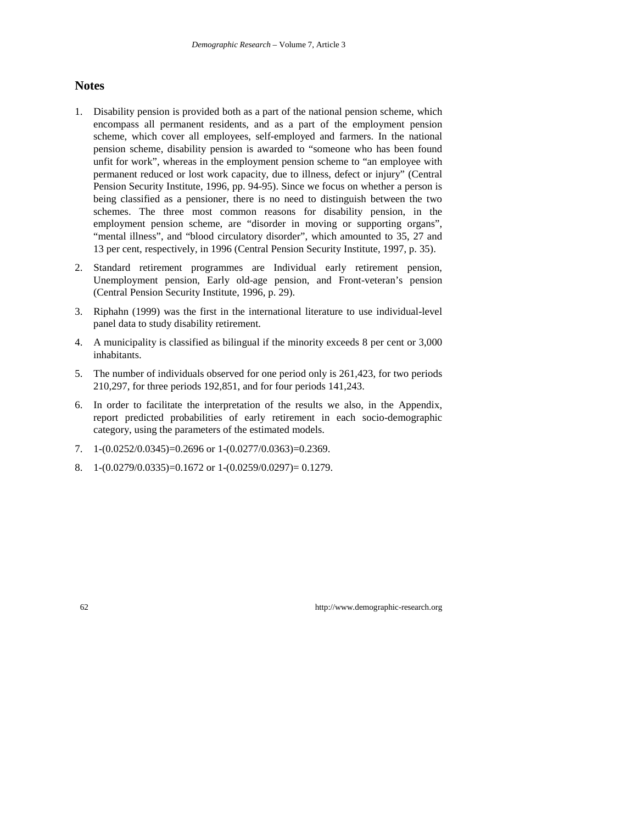## **Notes**

- 1. Disability pension is provided both as a part of the national pension scheme, which encompass all permanent residents, and as a part of the employment pension scheme, which cover all employees, self-employed and farmers. In the national pension scheme, disability pension is awarded to "someone who has been found unfit for work", whereas in the employment pension scheme to "an employee with permanent reduced or lost work capacity, due to illness, defect or injury" (Central Pension Security Institute, 1996, pp. 94-95). Since we focus on whether a person is being classified as a pensioner, there is no need to distinguish between the two schemes. The three most common reasons for disability pension, in the employment pension scheme, are "disorder in moving or supporting organs", "mental illness", and "blood circulatory disorder", which amounted to 35, 27 and 13 per cent, respectively, in 1996 (Central Pension Security Institute, 1997, p. 35).
- 2. Standard retirement programmes are Individual early retirement pension, Unemployment pension, Early old-age pension, and Front-veteran's pension (Central Pension Security Institute, 1996, p. 29).
- 3. Riphahn (1999) was the first in the international literature to use individual-level panel data to study disability retirement.
- 4. A municipality is classified as bilingual if the minority exceeds 8 per cent or 3,000 inhabitants.
- 5. The number of individuals observed for one period only is 261,423, for two periods 210,297, for three periods 192,851, and for four periods 141,243.
- 6. In order to facilitate the interpretation of the results we also, in the Appendix, report predicted probabilities of early retirement in each socio-demographic category, using the parameters of the estimated models.
- 7. 1- $(0.0252/0.0345)$ =0.2696 or 1- $(0.0277/0.0363)$ =0.2369.
- 8. 1- $(0.0279/0.0335)$ =0.1672 or 1- $(0.0259/0.0297)$ = 0.1279.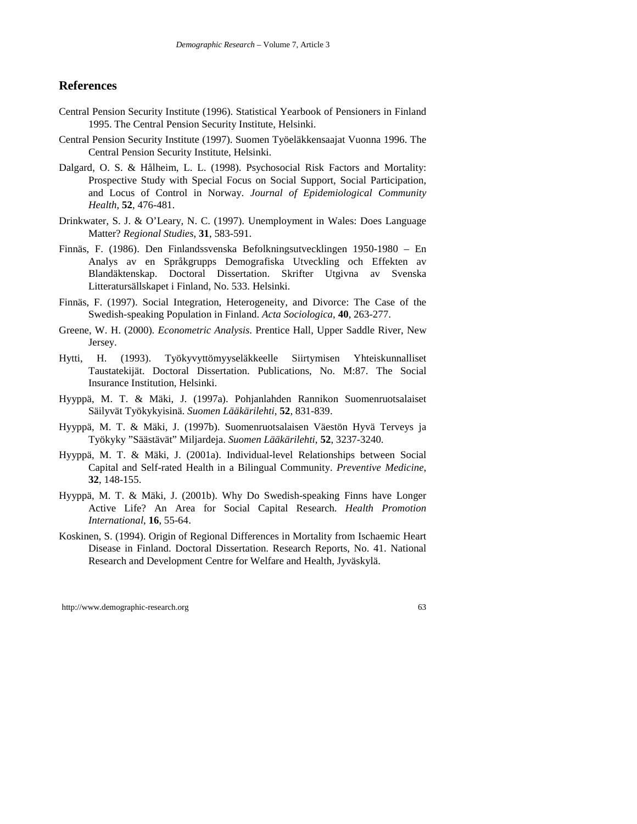#### **References**

- Central Pension Security Institute (1996). Statistical Yearbook of Pensioners in Finland 1995. The Central Pension Security Institute, Helsinki.
- Central Pension Security Institute (1997). Suomen Työeläkkensaajat Vuonna 1996. The Central Pension Security Institute, Helsinki.
- Dalgard, O. S. & Hålheim, L. L. (1998). Psychosocial Risk Factors and Mortality: Prospective Study with Special Focus on Social Support, Social Participation, and Locus of Control in Norway. *Journal of Epidemiological Community Health*, **52**, 476-481.
- Drinkwater, S. J. & O'Leary, N. C. (1997). Unemployment in Wales: Does Language Matter? *Regional Studies*, **31**, 583-591.
- Finnäs, F. (1986). Den Finlandssvenska Befolkningsutvecklingen 1950-1980 En Analys av en Språkgrupps Demografiska Utveckling och Effekten av Blandäktenskap. Doctoral Dissertation. Skrifter Utgivna av Svenska Litteratursällskapet i Finland, No. 533. Helsinki.
- Finnäs, F. (1997). Social Integration, Heterogeneity, and Divorce: The Case of the Swedish-speaking Population in Finland. *Acta Sociologica*, **40**, 263-277.
- Greene, W. H. (2000). *Econometric Analysis*. Prentice Hall, Upper Saddle River, New Jersey.
- Hytti, H. (1993). Työkyvyttömyyseläkkeelle Siirtymisen Yhteiskunnalliset Taustatekijät. Doctoral Dissertation. Publications, No. M:87. The Social Insurance Institution, Helsinki.
- Hyyppä, M. T. & Mäki, J. (1997a). Pohjanlahden Rannikon Suomenruotsalaiset Säilyvät Työkykyisinä. *Suomen Lääkärilehti*, **52**, 831-839.
- Hyyppä, M. T. & Mäki, J. (1997b). Suomenruotsalaisen Väestön Hyvä Terveys ja Työkyky "Säästävät" Miljardeja. *Suomen Lääkärilehti*, **52**, 3237-3240.
- Hyyppä, M. T. & Mäki, J. (2001a). Individual-level Relationships between Social Capital and Self-rated Health in a Bilingual Community. *Preventive Medicine*, **32**, 148-155.
- Hyyppä, M. T. & Mäki, J. (2001b). Why Do Swedish-speaking Finns have Longer Active Life? An Area for Social Capital Research. *Health Promotion International*, **16**, 55-64.
- Koskinen, S. (1994). Origin of Regional Differences in Mortality from Ischaemic Heart Disease in Finland. Doctoral Dissertation. Research Reports, No. 41. National Research and Development Centre for Welfare and Health, Jyväskylä.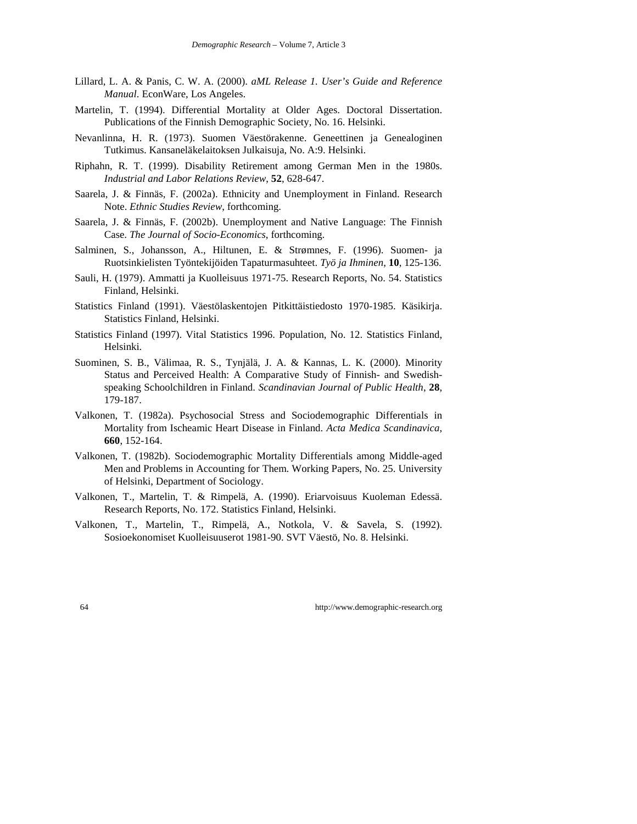- Lillard, L. A. & Panis, C. W. A. (2000). *aML Release 1. User's Guide and Reference Manual*. EconWare, Los Angeles.
- Martelin, T. (1994). Differential Mortality at Older Ages. Doctoral Dissertation. Publications of the Finnish Demographic Society, No. 16. Helsinki.
- Nevanlinna, H. R. (1973). Suomen Väestörakenne. Geneettinen ja Genealoginen Tutkimus. Kansaneläkelaitoksen Julkaisuja, No. A:9. Helsinki.
- Riphahn, R. T. (1999). Disability Retirement among German Men in the 1980s. *Industrial and Labor Relations Review*, **52**, 628-647.
- Saarela, J. & Finnäs, F. (2002a). Ethnicity and Unemployment in Finland. Research Note. *Ethnic Studies Review*, forthcoming.
- Saarela, J. & Finnäs, F. (2002b). Unemployment and Native Language: The Finnish Case. *The Journal of Socio-Economics*, forthcoming.
- Salminen, S., Johansson, A., Hiltunen, E. & Strømnes, F. (1996). Suomen- ja Ruotsinkielisten Työntekijöiden Tapaturmasuhteet. *Työ ja Ihminen*, **10**, 125-136.
- Sauli, H. (1979). Ammatti ja Kuolleisuus 1971-75. Research Reports, No. 54. Statistics Finland, Helsinki.
- Statistics Finland (1991). Väestölaskentojen Pitkittäistiedosto 1970-1985. Käsikirja. Statistics Finland, Helsinki.
- Statistics Finland (1997). Vital Statistics 1996. Population, No. 12. Statistics Finland, Helsinki.
- Suominen, S. B., Välimaa, R. S., Tynjälä, J. A. & Kannas, L. K. (2000). Minority Status and Perceived Health: A Comparative Study of Finnish- and Swedishspeaking Schoolchildren in Finland. *Scandinavian Journal of Public Health*, **28**, 179-187.
- Valkonen, T. (1982a). Psychosocial Stress and Sociodemographic Differentials in Mortality from Ischeamic Heart Disease in Finland. *Acta Medica Scandinavica*, **660**, 152-164.
- Valkonen, T. (1982b). Sociodemographic Mortality Differentials among Middle-aged Men and Problems in Accounting for Them. Working Papers, No. 25. University of Helsinki, Department of Sociology.
- Valkonen, T., Martelin, T. & Rimpelä, A. (1990). Eriarvoisuus Kuoleman Edessä. Research Reports, No. 172. Statistics Finland, Helsinki.
- Valkonen, T., Martelin, T., Rimpelä, A., Notkola, V. & Savela, S. (1992). Sosioekonomiset Kuolleisuuserot 1981-90. SVT Väestö, No. 8. Helsinki.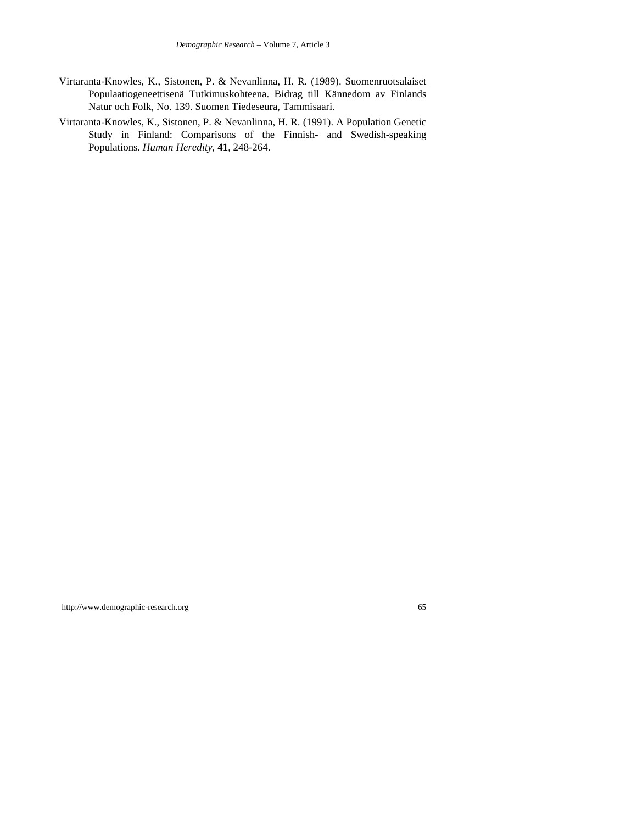- Virtaranta-Knowles, K., Sistonen, P. & Nevanlinna, H. R. (1989). Suomenruotsalaiset Populaatiogeneettisenä Tutkimuskohteena. Bidrag till Kännedom av Finlands Natur och Folk, No. 139. Suomen Tiedeseura, Tammisaari.
- Virtaranta-Knowles, K., Sistonen, P. & Nevanlinna, H. R. (1991). A Population Genetic Study in Finland: Comparisons of the Finnish- and Swedish-speaking Populations. *Human Heredity*, **41**, 248-264.